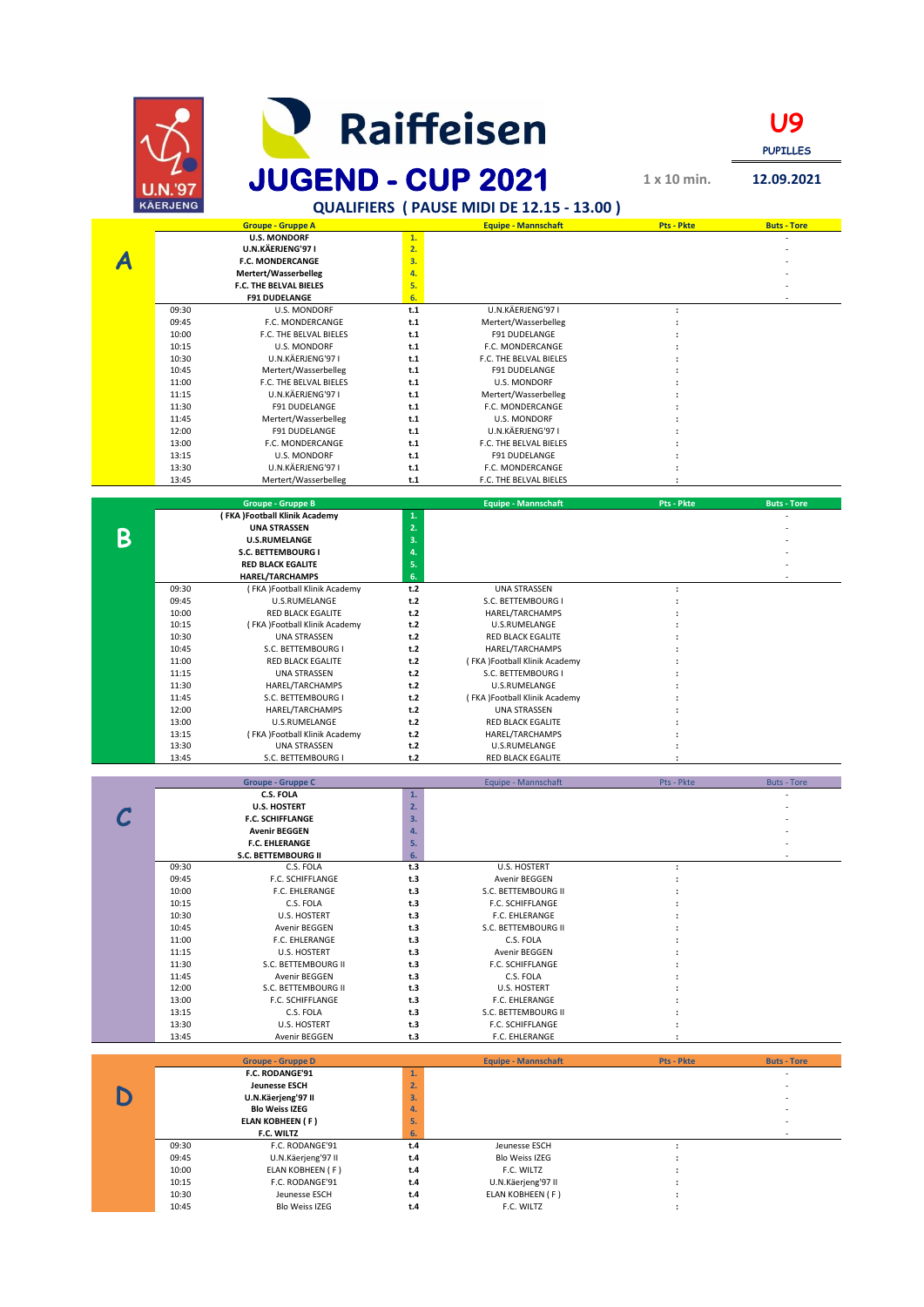|   |                 |                                                |            | <b>Raiffeisen</b>                           |                                              | Ug<br><b>PUPILLES</b> |
|---|-----------------|------------------------------------------------|------------|---------------------------------------------|----------------------------------------------|-----------------------|
|   | U.N.'91         | <b>JUGEND - CUP 2021</b>                       |            |                                             | $1 \times 10$ min.                           | 12.09.2021            |
|   | <b>KÄERJENG</b> |                                                |            | QUALIFIERS ( PAUSE MIDI DE 12.15 - 13.00)   |                                              |                       |
|   |                 | <b>Groupe - Gruppe A</b>                       |            | <b>Equipe - Mannschaft</b>                  | Pts - Pkte                                   | <b>Buts - Tore</b>    |
|   |                 | <b>U.S. MONDORF</b><br>U.N.KÄERJENG'97 I       | 1.<br>2.   |                                             |                                              |                       |
|   |                 | <b>F.C. MONDERCANGE</b>                        | 3.         |                                             |                                              |                       |
|   |                 | Mertert/Wasserbelleg<br>F.C. THE BELVAL BIELES | 4.<br>5.   |                                             |                                              |                       |
|   |                 | <b>F91 DUDELANGE</b>                           | 6.         |                                             |                                              |                       |
|   | 09:30           | <b>U.S. MONDORF</b>                            | t.1        | U.N.KÄERJENG'97 I                           | $\ddot{\phantom{a}}$                         |                       |
|   | 09:45<br>10:00  | F.C. MONDERCANGE<br>F.C. THE BELVAL BIELES     | t.1<br>t.1 | Mertert/Wasserbelleg<br>F91 DUDELANGE       | $\ddot{\phantom{a}}$                         |                       |
|   | 10:15           | <b>U.S. MONDORF</b>                            | t.1        | F.C. MONDERCANGE                            |                                              |                       |
|   | 10:30           | U.N.KÄERJENG'97 I                              | t.1        | F.C. THE BELVAL BIELES                      |                                              |                       |
|   | 10:45<br>11:00  | Mertert/Wasserbelleg<br>F.C. THE BELVAL BIELES | t.1<br>t.1 | <b>F91 DUDELANGE</b><br><b>U.S. MONDORF</b> |                                              |                       |
|   | 11:15           | U.N.KÄERJENG'971                               | t.1        | Mertert/Wasserbelleg                        |                                              |                       |
|   | 11:30<br>11:45  | F91 DUDELANGE<br>Mertert/Wasserbelleg          | t.1<br>t.1 | F.C. MONDERCANGE<br><b>U.S. MONDORF</b>     |                                              |                       |
|   | 12:00           | F91 DUDELANGE                                  | t.1        | U.N.KÄERJENG'97 I                           |                                              |                       |
|   | 13:00           | F.C. MONDERCANGE                               | t.1        | F.C. THE BELVAL BIELES                      |                                              |                       |
|   | 13:15<br>13:30  | <b>U.S. MONDORF</b><br>U.N.KÄERJENG'97 I       | t.1<br>t.1 | F91 DUDELANGE<br>F.C. MONDERCANGE           |                                              |                       |
|   | 13:45           | Mertert/Wasserbelleg                           | t.1        | F.C. THE BELVAL BIELES                      |                                              |                       |
|   |                 | <b>Groupe - Gruppe B</b>                       |            | <b>Equipe - Mannschaft</b>                  | <b>Pts - Pkte</b>                            | <b>Buts - Tore</b>    |
|   |                 | (FKA)Football Klinik Academy                   | 1.         |                                             |                                              |                       |
| Β |                 | <b>UNA STRASSEN</b>                            | 2.         |                                             |                                              |                       |
|   |                 | <b>U.S.RUMELANGE</b><br>S.C. BETTEMBOURG I     | 3.<br>4.   |                                             |                                              |                       |
|   |                 | <b>RED BLACK EGALITE</b>                       | 5.         |                                             |                                              |                       |
|   |                 | <b>HAREL/TARCHAMPS</b>                         | 6.<br>t.2  | <b>UNA STRASSEN</b>                         |                                              |                       |
|   | 09:30<br>09:45  | (FKA)Football Klinik Academy<br>U.S.RUMELANGE  | t.2        | S.C. BETTEMBOURG I                          | $\ddot{\phantom{a}}$<br>$\ddot{\phantom{a}}$ |                       |
|   | 10:00           | <b>RED BLACK EGALITE</b>                       | t.2        | HAREL/TARCHAMPS                             | $\ddot{\phantom{a}}$                         |                       |
|   | 10:15<br>10:30  | (FKA)Football Klinik Academy<br>UNA STRASSEN   | t.2<br>t.2 | U.S.RUMELANGE<br>RED BLACK EGALITE          |                                              |                       |
|   | 10:45           | S.C. BETTEMBOURG I                             | t.2        | HAREL/TARCHAMPS                             |                                              |                       |
|   | 11:00           | RED BLACK EGALITE                              | t.2        | (FKA)Football Klinik Academy                |                                              |                       |
|   | 11:15<br>11:30  | <b>UNA STRASSEN</b><br>HAREL/TARCHAMPS         | t.2<br>t.2 | S.C. BETTEMBOURG I<br>U.S.RUMELANGE         |                                              |                       |
|   | 11:45           | S.C. BETTEMBOURG I                             | t.2        | (FKA)Football Klinik Academy                |                                              |                       |
|   | 12:00<br>13:00  | HAREL/TARCHAMPS<br>U.S.RUMELANGE               | t.2<br>t.2 | <b>UNA STRASSEN</b><br>RED BLACK EGALITE    |                                              |                       |
|   | 13:15           | (FKA)Football Klinik Academy                   | t.2        | HAREL/TARCHAMPS                             |                                              |                       |
|   | 13:30           | <b>UNA STRASSEN</b>                            | t.2        | U.S.RUMELANGE                               | $\ddot{\phantom{a}}$                         |                       |
|   | 13:45           | S.C. BETTEMBOURG I                             | t.2        | RED BLACK EGALITE                           |                                              |                       |
|   |                 | <b>Groupe - Gruppe C</b>                       |            | Equipe - Mannschaft                         | Pts - Pkte                                   |                       |
|   |                 | <b>C.S. FOLA</b><br><b>U.S. HOSTERT</b>        | 1.<br>2.   |                                             |                                              |                       |
|   |                 | <b>F.C. SCHIFFLANGE</b>                        | 3.         |                                             |                                              |                       |
|   |                 | <b>Avenir BEGGEN</b><br><b>F.C. EHLERANGE</b>  | 4.<br>5.   |                                             |                                              |                       |
|   |                 | S.C. BETTEMBOURG II                            | 6.         |                                             |                                              |                       |
|   | 09:30           | C.S. FOLA                                      | t.3        | U.S. HOSTERT                                | :                                            |                       |
|   | 09:45<br>10:00  | F.C. SCHIFFLANGE<br>F.C. EHLERANGE             | t.3<br>t.3 | Avenir BEGGEN<br>S.C. BETTEMBOURG II        | $\ddot{\phantom{a}}$                         |                       |
|   | 10:15           | C.S. FOLA                                      | t.3        | F.C. SCHIFFLANGE                            |                                              |                       |
|   | 10:30<br>10:45  | U.S. HOSTERT                                   | t.3        | F.C. EHLERANGE                              |                                              |                       |
|   | 11:00           | Avenir BEGGEN<br>F.C. EHLERANGE                | t.3<br>t.3 | S.C. BETTEMBOURG II<br>C.S. FOLA            |                                              |                       |
|   | 11:15           | U.S. HOSTERT                                   | t.3        | Avenir BEGGEN                               |                                              |                       |
|   | 11:30<br>11:45  | S.C. BETTEMBOURG II<br>Avenir BEGGEN           | t.3<br>t.3 | F.C. SCHIFFLANGE<br>C.S. FOLA               |                                              |                       |
|   | 12:00           | S.C. BETTEMBOURG II                            | t.3        | U.S. HOSTERT                                |                                              |                       |
|   | 13:00           | F.C. SCHIFFLANGE                               | t.3        | F.C. EHLERANGE                              |                                              |                       |
|   | 13:15<br>13:30  | C.S. FOLA<br>U.S. HOSTERT                      | t.3<br>t.3 | S.C. BETTEMBOURG II<br>F.C. SCHIFFLANGE     | $\ddot{\phantom{a}}$                         |                       |
|   | 13:45           | Avenir BEGGEN                                  | t.3        | F.C. EHLERANGE                              | $\ddot{\phantom{a}}$                         |                       |
|   |                 | <b>Groupe - Gruppe D</b>                       |            | <b>Equipe - Mannschaft</b>                  | <b>Pts - Pkte</b>                            | <b>Buts - Tore</b>    |
|   |                 | F.C. RODANGE'91                                | 1.         |                                             |                                              |                       |
|   |                 | <b>Jeunesse ESCH</b><br>U.N.Käerjeng'97 II     | 2.<br>3.   |                                             |                                              |                       |
|   |                 | <b>Blo Weiss IZEG</b>                          | 4.         |                                             |                                              |                       |
|   |                 | <b>ELAN KOBHEEN (F)</b>                        | 5.         |                                             |                                              |                       |
|   | 09:30           | F.C. WILTZ<br>F.C. RODANGE'91                  | 6.<br>t.4  | Jeunesse ESCH                               | $\ddot{\phantom{a}}$                         |                       |
|   | 09:45           | U.N.Käerjeng'97 II                             | t.4        | <b>Blo Weiss IZEG</b>                       | $\ddot{\phantom{a}}$                         |                       |
|   | 10:00<br>10:15  | ELAN KOBHEEN (F)<br>F.C. RODANGE'91            | t.4<br>t.4 | F.C. WILTZ<br>U.N.Käerjeng'97 II            | $\ddot{\phantom{a}}$<br>$\ddot{\phantom{a}}$ |                       |
|   | 10:30           | Jeunesse ESCH                                  | t.4        | ELAN KOBHEEN (F)                            | ÷                                            |                       |
|   | 10:45           | <b>Blo Weiss IZEG</b>                          | t.4        | F.C. WILTZ                                  | ÷                                            |                       |